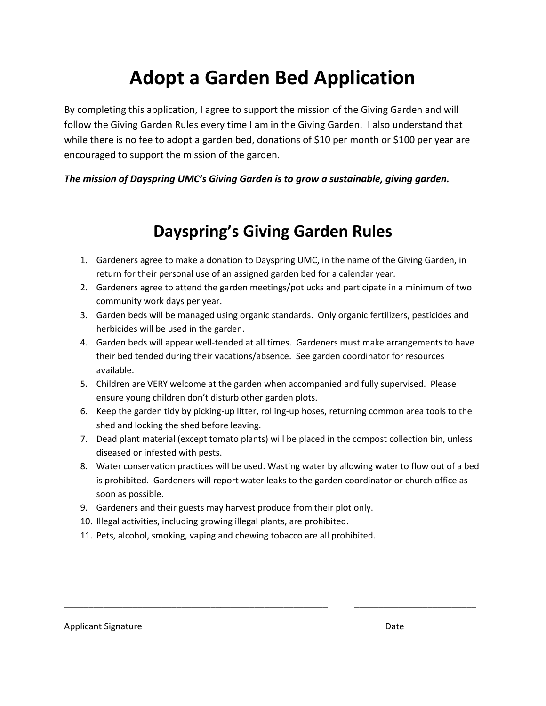## **Adopt a Garden Bed Application**

By completing this application, I agree to support the mission of the Giving Garden and will follow the Giving Garden Rules every time I am in the Giving Garden. I also understand that while there is no fee to adopt a garden bed, donations of \$10 per month or \$100 per year are encouraged to support the mission of the garden.

## *The mission of Dayspring UMC's Giving Garden is to grow a sustainable, giving garden.*

## **Dayspring's Giving Garden Rules**

- 1. Gardeners agree to make a donation to Dayspring UMC, in the name of the Giving Garden, in return for their personal use of an assigned garden bed for a calendar year.
- 2. Gardeners agree to attend the garden meetings/potlucks and participate in a minimum of two community work days per year.
- 3. Garden beds will be managed using organic standards. Only organic fertilizers, pesticides and herbicides will be used in the garden.
- 4. Garden beds will appear well-tended at all times. Gardeners must make arrangements to have their bed tended during their vacations/absence. See garden coordinator for resources available.
- 5. Children are VERY welcome at the garden when accompanied and fully supervised. Please ensure young children don't disturb other garden plots.
- 6. Keep the garden tidy by picking-up litter, rolling-up hoses, returning common area tools to the shed and locking the shed before leaving.
- 7. Dead plant material (except tomato plants) will be placed in the compost collection bin, unless diseased or infested with pests.
- 8. Water conservation practices will be used. Wasting water by allowing water to flow out of a bed is prohibited. Gardeners will report water leaks to the garden coordinator or church office as soon as possible.

\_\_\_\_\_\_\_\_\_\_\_\_\_\_\_\_\_\_\_\_\_\_\_\_\_\_\_\_\_\_\_\_\_\_\_\_\_\_\_\_\_\_\_\_\_\_\_\_\_\_\_\_\_\_ \_\_\_\_\_\_\_\_\_\_\_\_\_\_\_\_\_\_\_\_\_\_\_\_\_

- 9. Gardeners and their guests may harvest produce from their plot only.
- 10. Illegal activities, including growing illegal plants, are prohibited.
- 11. Pets, alcohol, smoking, vaping and chewing tobacco are all prohibited.